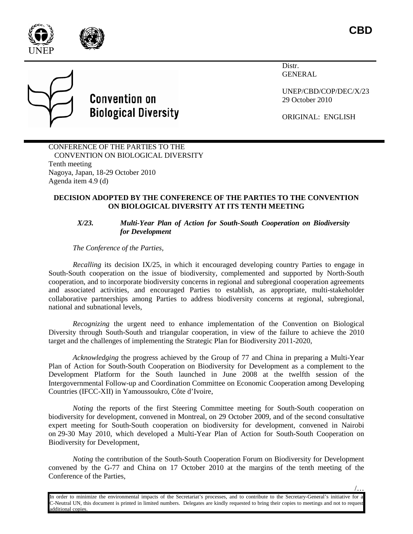



/…

Distr. GENERAL

UNEP/CBD/COP/DEC/X/23 29 October 2010

ORIGINAL: ENGLISH

## CONFERENCE OF THE PARTIES TO THE CONVENTION ON BIOLOGICAL DIVERSITY Tenth meeting Nagoya, Japan, 18-29 October 2010 Agenda item 4.9 (d)

**Convention on** 

**Biological Diversity** 

## **DECISION ADOPTED BY THE CONFERENCE OF THE PARTIES TO THE CONVENTION ON BIOLOGICAL DIVERSITY AT ITS TENTH MEETING**

## *X/23. Multi-Year Plan of Action for South-South Cooperation on Biodiversity for Development*

*The Conference of the Parties,*

*Recalling* its decision IX/25, in which it encouraged developing country Parties to engage in South-South cooperation on the issue of biodiversity, complemented and supported by North-South cooperation, and to incorporate biodiversity concerns in regional and subregional cooperation agreements and associated activities, and encouraged Parties to establish, as appropriate, multi-stakeholder collaborative partnerships among Parties to address biodiversity concerns at regional, subregional, national and subnational levels,

*Recognizing* the urgent need to enhance implementation of the Convention on Biological Diversity through South-South and triangular cooperation, in view of the failure to achieve the 2010 target and the challenges of implementing the Strategic Plan for Biodiversity 2011-2020,

*Acknowledging* the progress achieved by the Group of 77 and China in preparing a Multi-Year Plan of Action for South-South Cooperation on Biodiversity for Development as a complement to the Development Platform for the South launched in June 2008 at the twelfth session of the Intergovernmental Follow-up and Coordination Committee on Economic Cooperation among Developing Countries (IFCC-XII) in Yamoussoukro, Côte d'Ivoire,

*Noting* the reports of the first Steering Committee meeting for South-South cooperation on biodiversity for development, convened in Montreal, on 29 October 2009, and of the second consultative expert meeting for South-South cooperation on biodiversity for development, convened in Nairobi on 29-30 May 2010, which developed a Multi-Year Plan of Action for South-South Cooperation on Biodiversity for Development,

*Noting* the contribution of the South-South Cooperation Forum on Biodiversity for Development convened by the G-77 and China on 17 October 2010 at the margins of the tenth meeting of the Conference of the Parties,

In order to minimize the environmental impacts of the Secretariat's processes, and to contribute to the Secretary-General's initiative for a C-Neutral UN, this document is printed in limited numbers. Delegates are kindly requested to bring their copies to meetings and not to request additional copies.